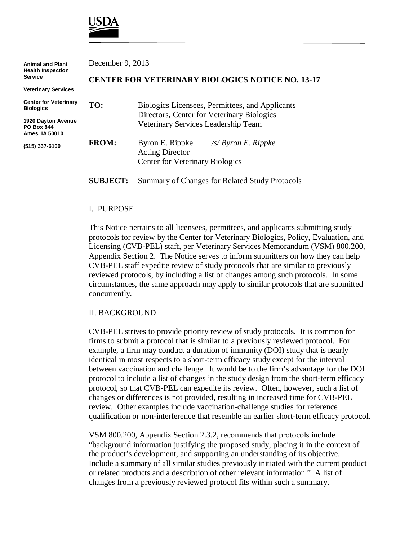

| <b>Animal and Plant</b><br><b>Health Inspection</b><br><b>Service</b>                                         | December 9, 2013                                        |                                                                                                                                      |
|---------------------------------------------------------------------------------------------------------------|---------------------------------------------------------|--------------------------------------------------------------------------------------------------------------------------------------|
|                                                                                                               | <b>CENTER FOR VETERINARY BIOLOGICS NOTICE NO. 13-17</b> |                                                                                                                                      |
| <b>Veterinary Services</b>                                                                                    |                                                         |                                                                                                                                      |
| <b>Center for Veterinary</b><br><b>Biologics</b><br>1920 Dayton Avenue<br><b>PO Box 844</b><br>Ames, IA 50010 | TO:                                                     | Biologics Licensees, Permittees, and Applicants<br>Directors, Center for Veterinary Biologics<br>Veterinary Services Leadership Team |
| (515) 337-6100                                                                                                | <b>FROM:</b>                                            | Byron E. Rippke<br>$\sqrt{s}$ Byron E. Rippke<br><b>Acting Director</b><br><b>Center for Veterinary Biologics</b>                    |
|                                                                                                               | <b>SUBJECT:</b>                                         | Summary of Changes for Related Study Protocols                                                                                       |

### I. PURPOSE

This Notice pertains to all licensees, permittees, and applicants submitting study protocols for review by the Center for Veterinary Biologics, Policy, Evaluation, and Licensing (CVB-PEL) staff, per Veterinary Services Memorandum (VSM) 800.200, Appendix Section 2. The Notice serves to inform submitters on how they can help CVB-PEL staff expedite review of study protocols that are similar to previously reviewed protocols, by including a list of changes among such protocols. In some circumstances, the same approach may apply to similar protocols that are submitted concurrently.

#### II. BACKGROUND

CVB-PEL strives to provide priority review of study protocols. It is common for firms to submit a protocol that is similar to a previously reviewed protocol. For example, a firm may conduct a duration of immunity (DOI) study that is nearly identical in most respects to a short-term efficacy study except for the interval between vaccination and challenge. It would be to the firm's advantage for the DOI protocol to include a list of changes in the study design from the short-term efficacy protocol, so that CVB-PEL can expedite its review. Often, however, such a list of changes or differences is not provided, resulting in increased time for CVB-PEL review. Other examples include vaccination-challenge studies for reference qualification or non-interference that resemble an earlier short-term efficacy protocol.

VSM 800.200, Appendix Section 2.3.2, recommends that protocols include "background information justifying the proposed study, placing it in the context of the product's development, and supporting an understanding of its objective. Include a summary of all similar studies previously initiated with the current product or related products and a description of other relevant information." A list of changes from a previously reviewed protocol fits within such a summary.